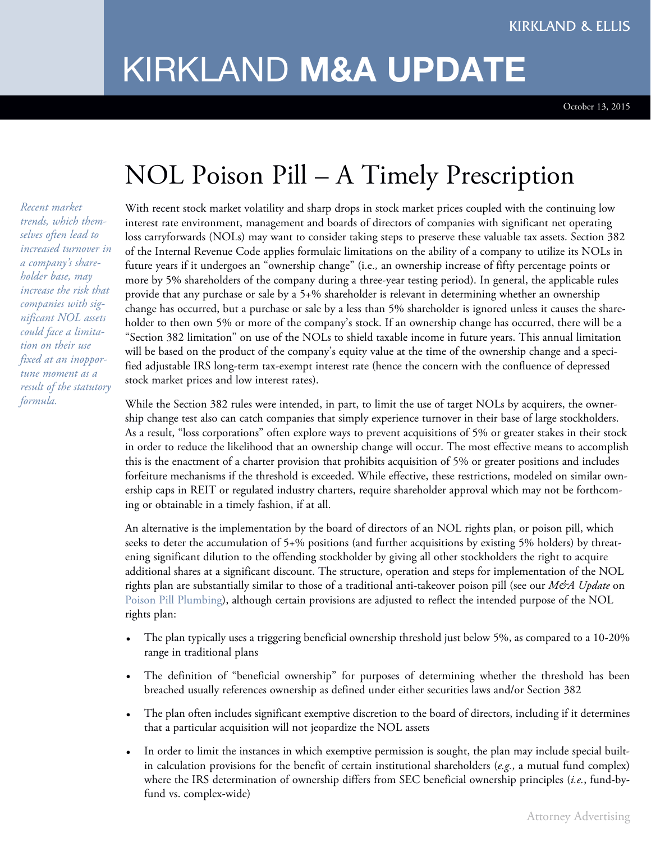## KIRKLAND **M&A UPDATE**

October 13, 2015

## NOL Poison Pill – A Timely Prescription

*Recent market trends, which themselves often lead to increased turnover in a company's shareholder base, may increase the risk that companies with significant NOL assets could face a limitation on their use fixed at an inopportune moment as a result of the statutory formula.*

With recent stock market volatility and sharp drops in stock market prices coupled with the continuing low interest rate environment, management and boards of directors of companies with significant net operating loss carryforwards (NOLs) may want to consider taking steps to preserve these valuable tax assets. Section 382 of the Internal Revenue Code applies formulaic limitations on the ability of a company to utilize its NOLs in future years if it undergoes an "ownership change" (i.e.*,* an ownership increase of fifty percentage points or more by 5% shareholders of the company during a three-year testing period). In general, the applicable rules provide that any purchase or sale by a 5+% shareholder is relevant in determining whether an ownership change has occurred, but a purchase or sale by a less than 5% shareholder is ignored unless it causes the shareholder to then own 5% or more of the company's stock. If an ownership change has occurred, there will be a "Section 382 limitation" on use of the NOLs to shield taxable income in future years. This annual limitation will be based on the product of the company's equity value at the time of the ownership change and a specified adjustable IRS long-term tax-exempt interest rate (hence the concern with the confluence of depressed stock market prices and low interest rates).

While the Section 382 rules were intended, in part, to limit the use of target NOLs by acquirers, the ownership change test also can catch companies that simply experience turnover in their base of large stockholders. As a result, "loss corporations" often explore ways to prevent acquisitions of 5% or greater stakes in their stock in order to reduce the likelihood that an ownership change will occur. The most effective means to accomplish this is the enactment of a charter provision that prohibits acquisition of 5% or greater positions and includes forfeiture mechanisms if the threshold is exceeded. While effective, these restrictions, modeled on similar ownership caps in REIT or regulated industry charters, require shareholder approval which may not be forthcoming or obtainable in a timely fashion, if at all.

An alternative is the implementation by the board of directors of an NOL rights plan, or poison pill, which seeks to deter the accumulation of 5+% positions (and further acquisitions by existing 5% holders) by threatening significant dilution to the offending stockholder by giving all other stockholders the right to acquire additional shares at a significant discount. The structure, operation and steps for implementation of the NOL rights plan are substantially similar to those of a traditional anti-takeover poison pill (see our *M&A Update* on Poison Pill [Plumbing\)](http://www.kirkland.com/siteFiles/Publications/DFD5E78B507B22BB6AA6D919FE59E88D.pdf), although certain provisions are adjusted to reflect the intended purpose of the NOL rights plan:

- The plan typically uses a triggering beneficial ownership threshold just below 5%, as compared to a 10-20% range in traditional plans
- The definition of "beneficial ownership" for purposes of determining whether the threshold has been breached usually references ownership as defined under either securities laws and/or Section 382
- The plan often includes significant exemptive discretion to the board of directors, including if it determines that a particular acquisition will not jeopardize the NOL assets
- In order to limit the instances in which exemptive permission is sought, the plan may include special builtin calculation provisions for the benefit of certain institutional shareholders (*e.g.*, a mutual fund complex) where the IRS determination of ownership differs from SEC beneficial ownership principles (*i.e.*, fund-byfund vs. complex-wide)